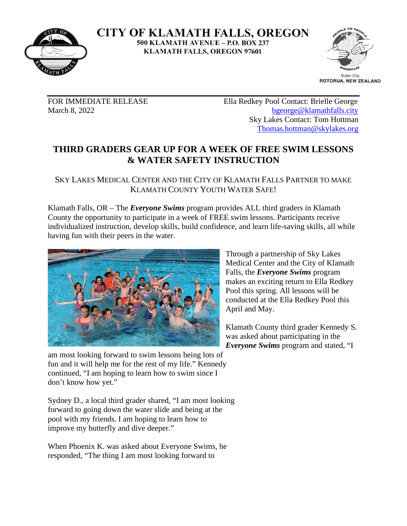

**CITY OF KLAMATH FALLS, OREGON** 500 KLAMATH AVENUE - P.O. BOX 237 **KLAMATH FALLS, OREGON 97601** 



FOR IMMEDIATE RELEASE Ella Redkey Pool Contact: Brielle George March 8, 2022 beorge@klamathfalls.city Sky Lakes Contact: Tom Hottman [Thomas.hottman@skylakes.org](mailto:Thomas.hottman@skylakes.org)

## **THIRD GRADERS GEAR UP FOR A WEEK OF FREE SWIM LESSONS & WATER SAFETY INSTRUCTION**

SKY LAKES MEDICAL CENTER AND THE CITY OF KLAMATH FALLS PARTNER TO MAKE KLAMATH COUNTY YOUTH WATER SAFE!

Klamath Falls, OR – The *Everyone Swims* program provides ALL third graders in Klamath County the opportunity to participate in a week of FREE swim lessons. Participants receive individualized instruction, develop skills, build confidence, and learn life-saving skills, all while having fun with their peers in the water.



am most looking forward to swim lessons being lots of fun and it will help me for the rest of my life." Kennedy continued, "I am hoping to learn how to swim since I don't know how yet."

Sydney D., a local third grader shared, "I am most looking forward to going down the water slide and being at the pool with my friends. I am hoping to learn how to improve my butterfly and dive deeper."

When Phoenix K. was asked about Everyone Swims, he responded, "The thing I am most looking forward to

Through a partnership of Sky Lakes Medical Center and the City of Klamath Falls, the *Everyone Swims* program makes an exciting return to Ella Redkey Pool this spring. All lessons will be conducted at the Ella Redkey Pool this April and May.

Klamath County third grader Kennedy S. was asked about participating in the *Everyone Swims* program and stated, "I